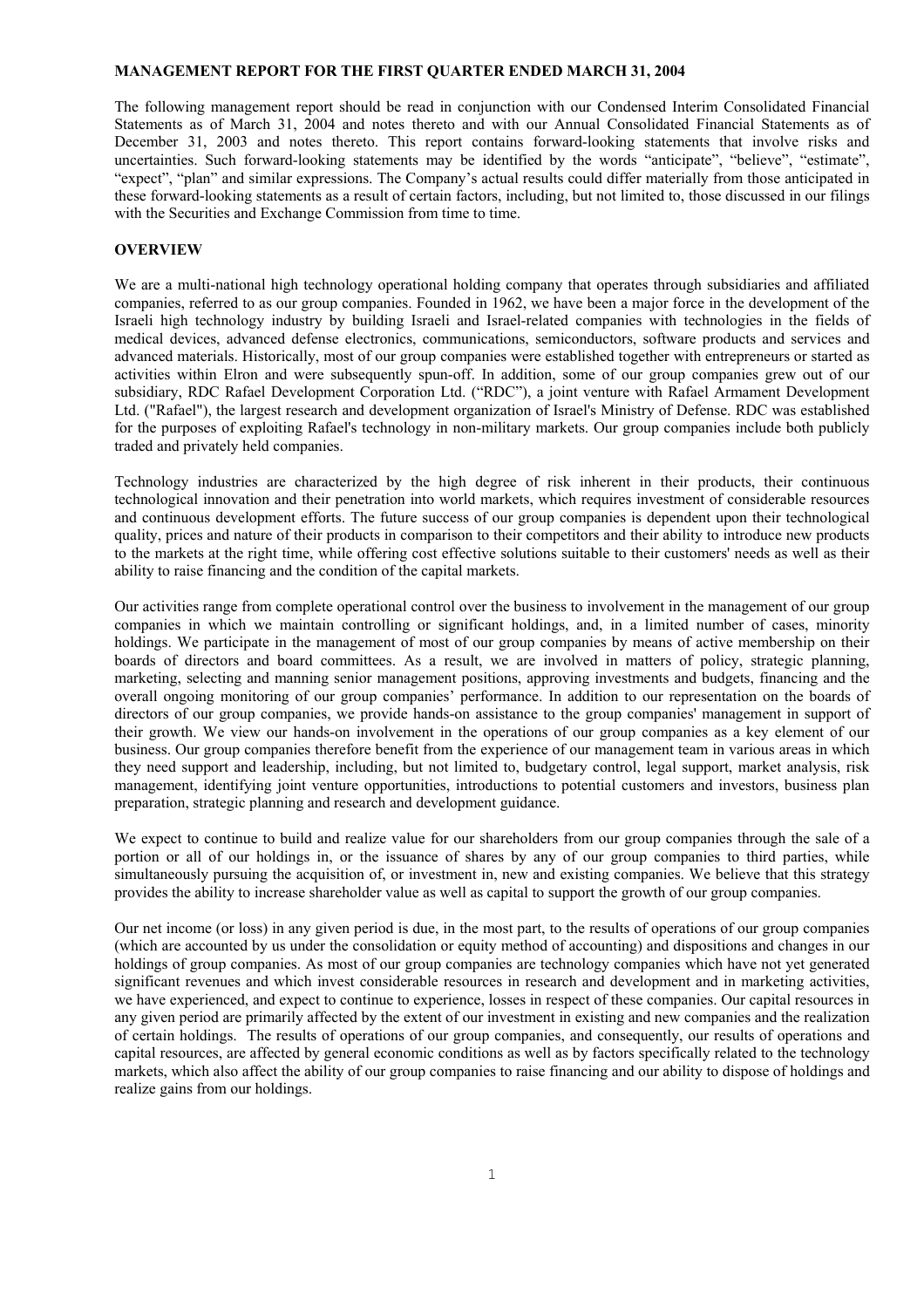## **MANAGEMENT REPORT FOR THE FIRST QUARTER ENDED MARCH 31, 2004**

The following management report should be read in conjunction with our Condensed Interim Consolidated Financial Statements as of March 31, 2004 and notes thereto and with our Annual Consolidated Financial Statements as of December 31, 2003 and notes thereto. This report contains forward-looking statements that involve risks and uncertainties. Such forward-looking statements may be identified by the words "anticipate", "believe", "estimate", "expect", "plan" and similar expressions. The Company's actual results could differ materially from those anticipated in these forward-looking statements as a result of certain factors, including, but not limited to, those discussed in our filings with the Securities and Exchange Commission from time to time.

## **OVERVIEW**

We are a multi-national high technology operational holding company that operates through subsidiaries and affiliated companies, referred to as our group companies. Founded in 1962, we have been a major force in the development of the Israeli high technology industry by building Israeli and Israel-related companies with technologies in the fields of medical devices, advanced defense electronics, communications, semiconductors, software products and services and advanced materials. Historically, most of our group companies were established together with entrepreneurs or started as activities within Elron and were subsequently spun-off. In addition, some of our group companies grew out of our subsidiary, RDC Rafael Development Corporation Ltd. ("RDC"), a joint venture with Rafael Armament Development Ltd. ("Rafael"), the largest research and development organization of Israel's Ministry of Defense. RDC was established for the purposes of exploiting Rafael's technology in non-military markets. Our group companies include both publicly traded and privately held companies.

Technology industries are characterized by the high degree of risk inherent in their products, their continuous technological innovation and their penetration into world markets, which requires investment of considerable resources and continuous development efforts. The future success of our group companies is dependent upon their technological quality, prices and nature of their products in comparison to their competitors and their ability to introduce new products to the markets at the right time, while offering cost effective solutions suitable to their customers' needs as well as their ability to raise financing and the condition of the capital markets.

Our activities range from complete operational control over the business to involvement in the management of our group companies in which we maintain controlling or significant holdings, and, in a limited number of cases, minority holdings. We participate in the management of most of our group companies by means of active membership on their boards of directors and board committees. As a result, we are involved in matters of policy, strategic planning, marketing, selecting and manning senior management positions, approving investments and budgets, financing and the overall ongoing monitoring of our group companies' performance. In addition to our representation on the boards of directors of our group companies, we provide hands-on assistance to the group companies' management in support of their growth. We view our hands-on involvement in the operations of our group companies as a key element of our business. Our group companies therefore benefit from the experience of our management team in various areas in which they need support and leadership, including, but not limited to, budgetary control, legal support, market analysis, risk management, identifying joint venture opportunities, introductions to potential customers and investors, business plan preparation, strategic planning and research and development guidance.

We expect to continue to build and realize value for our shareholders from our group companies through the sale of a portion or all of our holdings in, or the issuance of shares by any of our group companies to third parties, while simultaneously pursuing the acquisition of, or investment in, new and existing companies. We believe that this strategy provides the ability to increase shareholder value as well as capital to support the growth of our group companies.

Our net income (or loss) in any given period is due, in the most part, to the results of operations of our group companies (which are accounted by us under the consolidation or equity method of accounting) and dispositions and changes in our holdings of group companies. As most of our group companies are technology companies which have not yet generated significant revenues and which invest considerable resources in research and development and in marketing activities, we have experienced, and expect to continue to experience, losses in respect of these companies. Our capital resources in any given period are primarily affected by the extent of our investment in existing and new companies and the realization of certain holdings. The results of operations of our group companies, and consequently, our results of operations and capital resources, are affected by general economic conditions as well as by factors specifically related to the technology markets, which also affect the ability of our group companies to raise financing and our ability to dispose of holdings and realize gains from our holdings.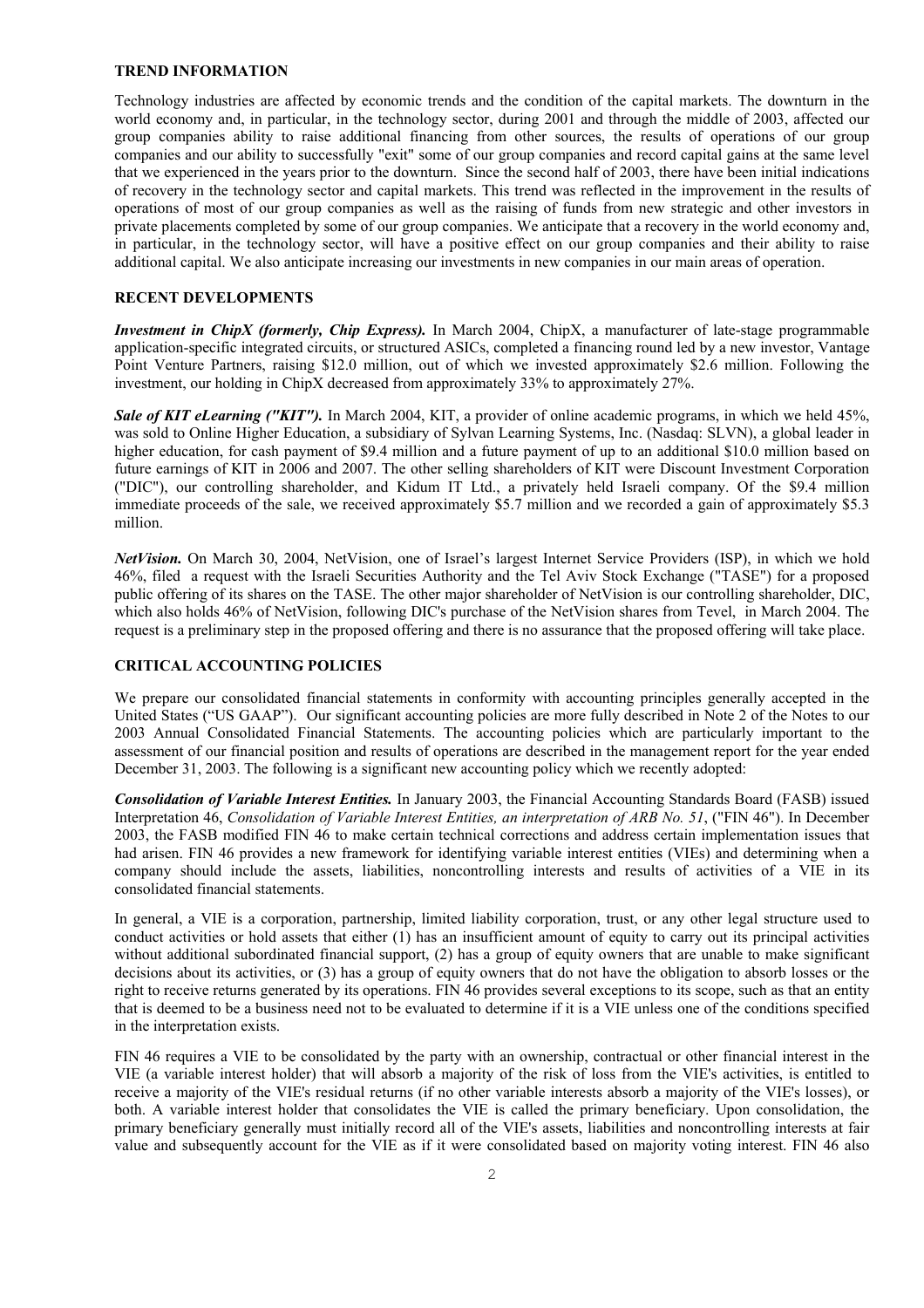#### **TREND INFORMATION**

Technology industries are affected by economic trends and the condition of the capital markets. The downturn in the world economy and, in particular, in the technology sector, during 2001 and through the middle of 2003, affected our group companies ability to raise additional financing from other sources, the results of operations of our group companies and our ability to successfully "exit" some of our group companies and record capital gains at the same level that we experienced in the years prior to the downturn. Since the second half of 2003, there have been initial indications of recovery in the technology sector and capital markets. This trend was reflected in the improvement in the results of operations of most of our group companies as well as the raising of funds from new strategic and other investors in private placements completed by some of our group companies. We anticipate that a recovery in the world economy and, in particular, in the technology sector, will have a positive effect on our group companies and their ability to raise additional capital. We also anticipate increasing our investments in new companies in our main areas of operation.

## **RECENT DEVELOPMENTS**

*Investment in ChipX (formerly, Chip Express).* In March 2004, ChipX, a manufacturer of late-stage programmable application-specific integrated circuits, or structured ASICs, completed a financing round led by a new investor, Vantage Point Venture Partners, raising \$12.0 million, out of which we invested approximately \$2.6 million. Following the investment, our holding in ChipX decreased from approximately 33% to approximately 27%.

*Sale of KIT eLearning ("KIT").* In March 2004, KIT, a provider of online academic programs, in which we held 45%, was sold to Online Higher Education, a subsidiary of Sylvan Learning Systems, Inc. (Nasdaq: SLVN), a global leader in higher education, for cash payment of \$9.4 million and a future payment of up to an additional \$10.0 million based on future earnings of KIT in 2006 and 2007. The other selling shareholders of KIT were Discount Investment Corporation ("DIC"), our controlling shareholder, and Kidum IT Ltd., a privately held Israeli company. Of the \$9.4 million immediate proceeds of the sale, we received approximately \$5.7 million and we recorded a gain of approximately \$5.3 million.

*NetVision.* On March 30, 2004, NetVision, one of Israel's largest Internet Service Providers (ISP), in which we hold 46%, filed a request with the Israeli Securities Authority and the Tel Aviv Stock Exchange ("TASE") for a proposed public offering of its shares on the TASE. The other major shareholder of NetVision is our controlling shareholder, DIC, which also holds 46% of NetVision, following DIC's purchase of the NetVision shares from Tevel, in March 2004. The request is a preliminary step in the proposed offering and there is no assurance that the proposed offering will take place.

## **CRITICAL ACCOUNTING POLICIES**

We prepare our consolidated financial statements in conformity with accounting principles generally accepted in the United States ("US GAAP"). Our significant accounting policies are more fully described in Note 2 of the Notes to our 2003 Annual Consolidated Financial Statements. The accounting policies which are particularly important to the assessment of our financial position and results of operations are described in the management report for the year ended December 31, 2003. The following is a significant new accounting policy which we recently adopted:

*Consolidation of Variable Interest Entities.* In January 2003, the Financial Accounting Standards Board (FASB) issued Interpretation 46, *Consolidation of Variable Interest Entities, an interpretation of ARB No. 51*, ("FIN 46"). In December 2003, the FASB modified FIN 46 to make certain technical corrections and address certain implementation issues that had arisen. FIN 46 provides a new framework for identifying variable interest entities (VIEs) and determining when a company should include the assets, liabilities, noncontrolling interests and results of activities of a VIE in its consolidated financial statements.

In general, a VIE is a corporation, partnership, limited liability corporation, trust, or any other legal structure used to conduct activities or hold assets that either (1) has an insufficient amount of equity to carry out its principal activities without additional subordinated financial support, (2) has a group of equity owners that are unable to make significant decisions about its activities, or (3) has a group of equity owners that do not have the obligation to absorb losses or the right to receive returns generated by its operations. FIN 46 provides several exceptions to its scope, such as that an entity that is deemed to be a business need not to be evaluated to determine if it is a VIE unless one of the conditions specified in the interpretation exists.

FIN 46 requires a VIE to be consolidated by the party with an ownership, contractual or other financial interest in the VIE (a variable interest holder) that will absorb a majority of the risk of loss from the VIE's activities, is entitled to receive a majority of the VIE's residual returns (if no other variable interests absorb a majority of the VIE's losses), or both. A variable interest holder that consolidates the VIE is called the primary beneficiary. Upon consolidation, the primary beneficiary generally must initially record all of the VIE's assets, liabilities and noncontrolling interests at fair value and subsequently account for the VIE as if it were consolidated based on majority voting interest. FIN 46 also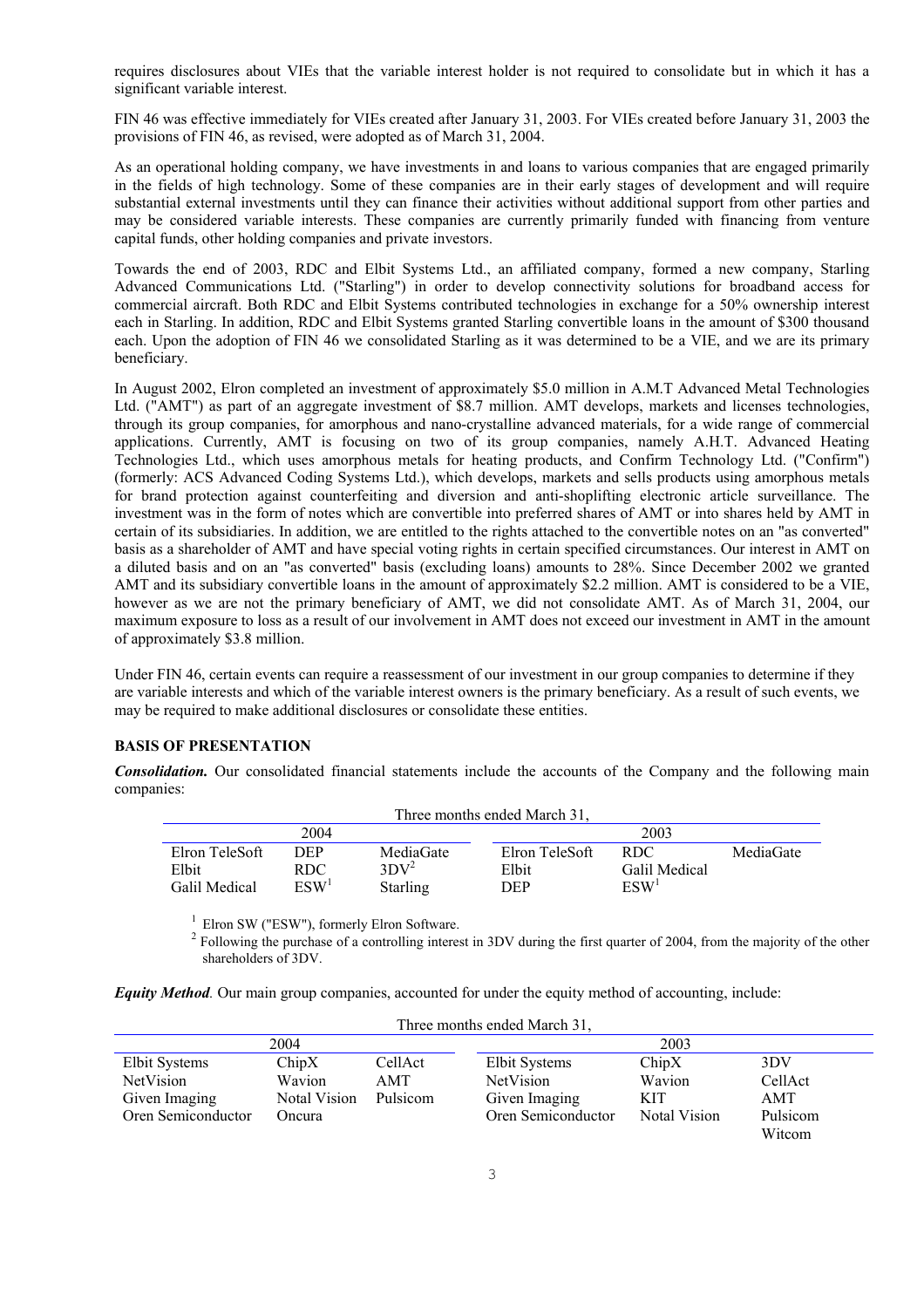requires disclosures about VIEs that the variable interest holder is not required to consolidate but in which it has a significant variable interest.

FIN 46 was effective immediately for VIEs created after January 31, 2003. For VIEs created before January 31, 2003 the provisions of FIN 46, as revised, were adopted as of March 31, 2004.

As an operational holding company, we have investments in and loans to various companies that are engaged primarily in the fields of high technology. Some of these companies are in their early stages of development and will require substantial external investments until they can finance their activities without additional support from other parties and may be considered variable interests. These companies are currently primarily funded with financing from venture capital funds, other holding companies and private investors.

Towards the end of 2003, RDC and Elbit Systems Ltd., an affiliated company, formed a new company, Starling Advanced Communications Ltd. ("Starling") in order to develop connectivity solutions for broadband access for commercial aircraft. Both RDC and Elbit Systems contributed technologies in exchange for a 50% ownership interest each in Starling. In addition, RDC and Elbit Systems granted Starling convertible loans in the amount of \$300 thousand each. Upon the adoption of FIN 46 we consolidated Starling as it was determined to be a VIE, and we are its primary beneficiary.

In August 2002, Elron completed an investment of approximately \$5.0 million in A.M.T Advanced Metal Technologies Ltd. ("AMT") as part of an aggregate investment of \$8.7 million. AMT develops, markets and licenses technologies, through its group companies, for amorphous and nano-crystalline advanced materials, for a wide range of commercial applications. Currently, AMT is focusing on two of its group companies, namely A.H.T. Advanced Heating Technologies Ltd., which uses amorphous metals for heating products, and Confirm Technology Ltd. ("Confirm") (formerly: ACS Advanced Coding Systems Ltd.), which develops, markets and sells products using amorphous metals for brand protection against counterfeiting and diversion and anti-shoplifting electronic article surveillance. The investment was in the form of notes which are convertible into preferred shares of AMT or into shares held by AMT in certain of its subsidiaries. In addition, we are entitled to the rights attached to the convertible notes on an "as converted" basis as a shareholder of AMT and have special voting rights in certain specified circumstances. Our interest in AMT on a diluted basis and on an "as converted" basis (excluding loans) amounts to 28%. Since December 2002 we granted AMT and its subsidiary convertible loans in the amount of approximately \$2.2 million. AMT is considered to be a VIE, however as we are not the primary beneficiary of AMT, we did not consolidate AMT. As of March 31, 2004, our maximum exposure to loss as a result of our involvement in AMT does not exceed our investment in AMT in the amount of approximately \$3.8 million.

Under FIN 46, certain events can require a reassessment of our investment in our group companies to determine if they are variable interests and which of the variable interest owners is the primary beneficiary. As a result of such events, we may be required to make additional disclosures or consolidate these entities.

# **BASIS OF PRESENTATION**

*Consolidation.* Our consolidated financial statements include the accounts of the Company and the following main companies:

| Three months ended March 31. |                  |                 |                |                    |           |
|------------------------------|------------------|-----------------|----------------|--------------------|-----------|
| 2004                         |                  |                 | 2003           |                    |           |
| Elron TeleSoft               | DEP              | MediaGate       | Elron TeleSoft | RDC.               | MediaGate |
| Elbit                        | RDC              | $3DY^2$         | Elbit          | Galil Medical      |           |
| Galil Medical                | ESW <sup>1</sup> | <b>Starling</b> | DEP            | $\mathbf{ESW}^{1}$ |           |

 $1$  Elron SW ("ESW"), formerly Elron Software.

 $2^2$  Following the purchase of a controlling interest in 3DV during the first quarter of 2004, from the majority of the other shareholders of 3DV.

*Equity Method.* Our main group companies, accounted for under the equity method of accounting, include:

| Three months ended March 31, |              |          |                    |              |          |  |
|------------------------------|--------------|----------|--------------------|--------------|----------|--|
| 2004                         |              |          | 2003               |              |          |  |
| Elbit Systems                | ChipX        | CellAct  | Elbit Systems      | ChipX        | 3DV      |  |
| NetVision                    | Wavion       | AMT      | NetVision          | Wavion       | CellAct  |  |
| Given Imaging                | Notal Vision | Pulsicom | Given Imaging      | KIT          | AMT      |  |
| Oren Semiconductor           | Oncura       |          | Oren Semiconductor | Notal Vision | Pulsicom |  |
|                              |              |          |                    |              | Witcom   |  |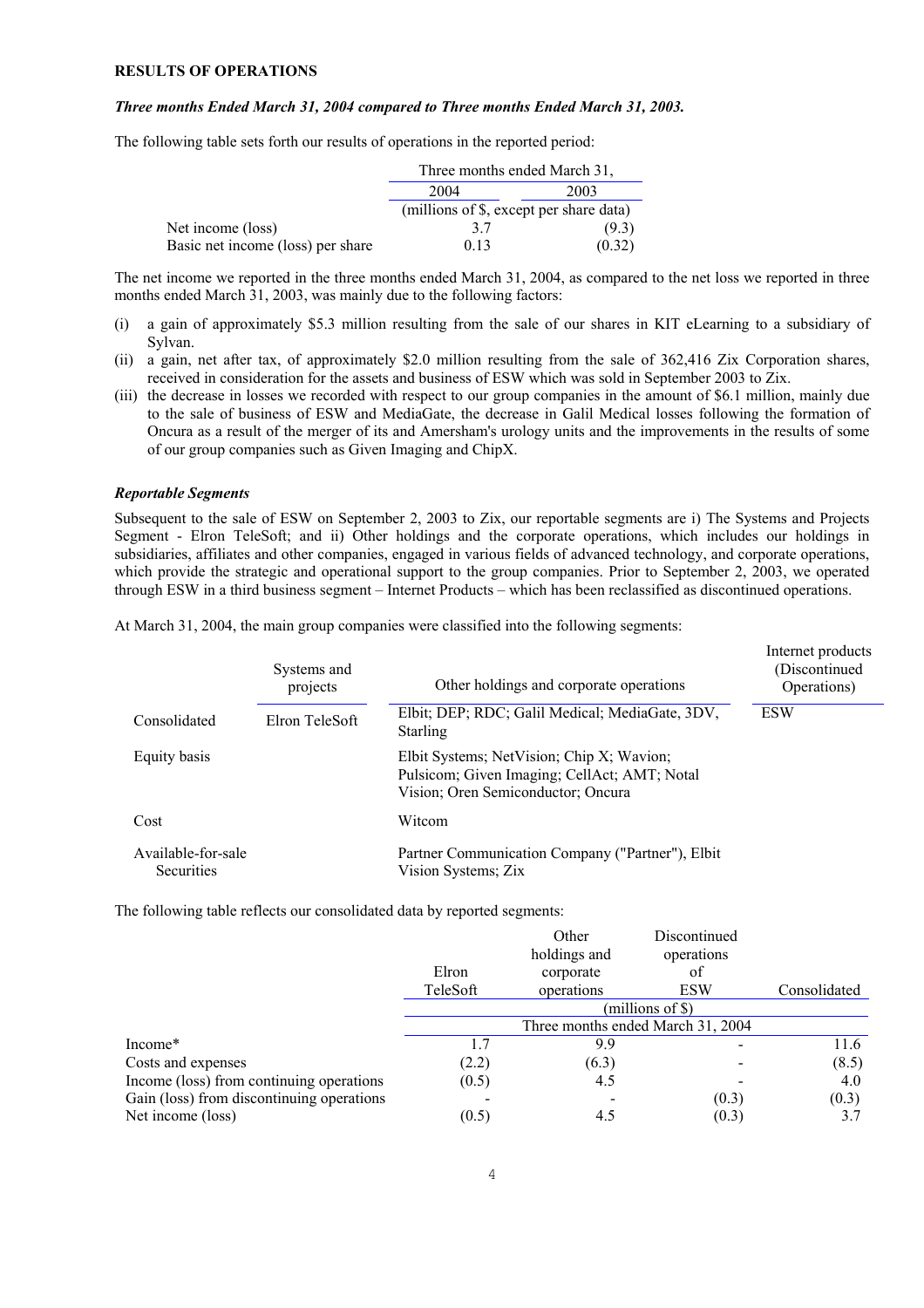### **RESULTS OF OPERATIONS**

#### *Three months Ended March 31, 2004 compared to Three months Ended March 31, 2003.*

The following table sets forth our results of operations in the reported period:

|                                   | Three months ended March 31,            |        |  |
|-----------------------------------|-----------------------------------------|--------|--|
|                                   | 2004<br>2003                            |        |  |
|                                   | (millions of \$, except per share data) |        |  |
| Net income (loss)                 | 37                                      | (9.3)  |  |
| Basic net income (loss) per share | 0.13                                    | (0.32) |  |

The net income we reported in the three months ended March 31, 2004, as compared to the net loss we reported in three months ended March 31, 2003, was mainly due to the following factors:

- (i) a gain of approximately \$5.3 million resulting from the sale of our shares in KIT eLearning to a subsidiary of Sylvan.
- (ii) a gain, net after tax, of approximately \$2.0 million resulting from the sale of 362,416 Zix Corporation shares, received in consideration for the assets and business of ESW which was sold in September 2003 to Zix.
- (iii) the decrease in losses we recorded with respect to our group companies in the amount of \$6.1 million, mainly due to the sale of business of ESW and MediaGate, the decrease in Galil Medical losses following the formation of Oncura as a result of the merger of its and Amersham's urology units and the improvements in the results of some of our group companies such as Given Imaging and ChipX.

## *Reportable Segments*

Subsequent to the sale of ESW on September 2, 2003 to Zix, our reportable segments are i) The Systems and Projects Segment - Elron TeleSoft; and ii) Other holdings and the corporate operations, which includes our holdings in subsidiaries, affiliates and other companies, engaged in various fields of advanced technology, and corporate operations, which provide the strategic and operational support to the group companies. Prior to September 2, 2003, we operated through ESW in a third business segment – Internet Products – which has been reclassified as discontinued operations.

At March 31, 2004, the main group companies were classified into the following segments:

|                                         | Systems and<br>projects | Other holdings and corporate operations                                                                                         | Internet products<br>(Discontinued)<br>Operations) |
|-----------------------------------------|-------------------------|---------------------------------------------------------------------------------------------------------------------------------|----------------------------------------------------|
| Consolidated                            | Elron TeleSoft          | Elbit; DEP; RDC; Galil Medical; MediaGate, 3DV,<br><b>Starling</b>                                                              | <b>ESW</b>                                         |
| Equity basis                            |                         | Elbit Systems; NetVision; Chip X; Wavion;<br>Pulsicom; Given Imaging; CellAct; AMT; Notal<br>Vision; Oren Semiconductor; Oncura |                                                    |
| Cost                                    |                         | Witcom                                                                                                                          |                                                    |
| Available-for-sale<br><b>Securities</b> |                         | Partner Communication Company ("Partner"), Elbit<br>Vision Systems; Zix                                                         |                                                    |

Internet products

The following table reflects our consolidated data by reported segments:

|                                           |          | Other<br>holdings and | Discontinued<br>operations        |              |
|-------------------------------------------|----------|-----------------------|-----------------------------------|--------------|
|                                           | Elron    | corporate             | of                                |              |
|                                           | TeleSoft | operations            | <b>ESW</b>                        | Consolidated |
|                                           |          |                       | $(millions of \$))$               |              |
|                                           |          |                       | Three months ended March 31, 2004 |              |
| Income <sup>*</sup>                       |          | 9.9                   |                                   | 11.6         |
| Costs and expenses                        | (2.2)    | (6.3)                 |                                   | (8.5)        |
| Income (loss) from continuing operations  | (0.5)    | 4.5                   |                                   | 4.0          |
| Gain (loss) from discontinuing operations |          |                       | (0.3)                             | (0.3)        |
| Net income (loss)                         | (0.5)    | 4.5                   | (0.3)                             | 3.7          |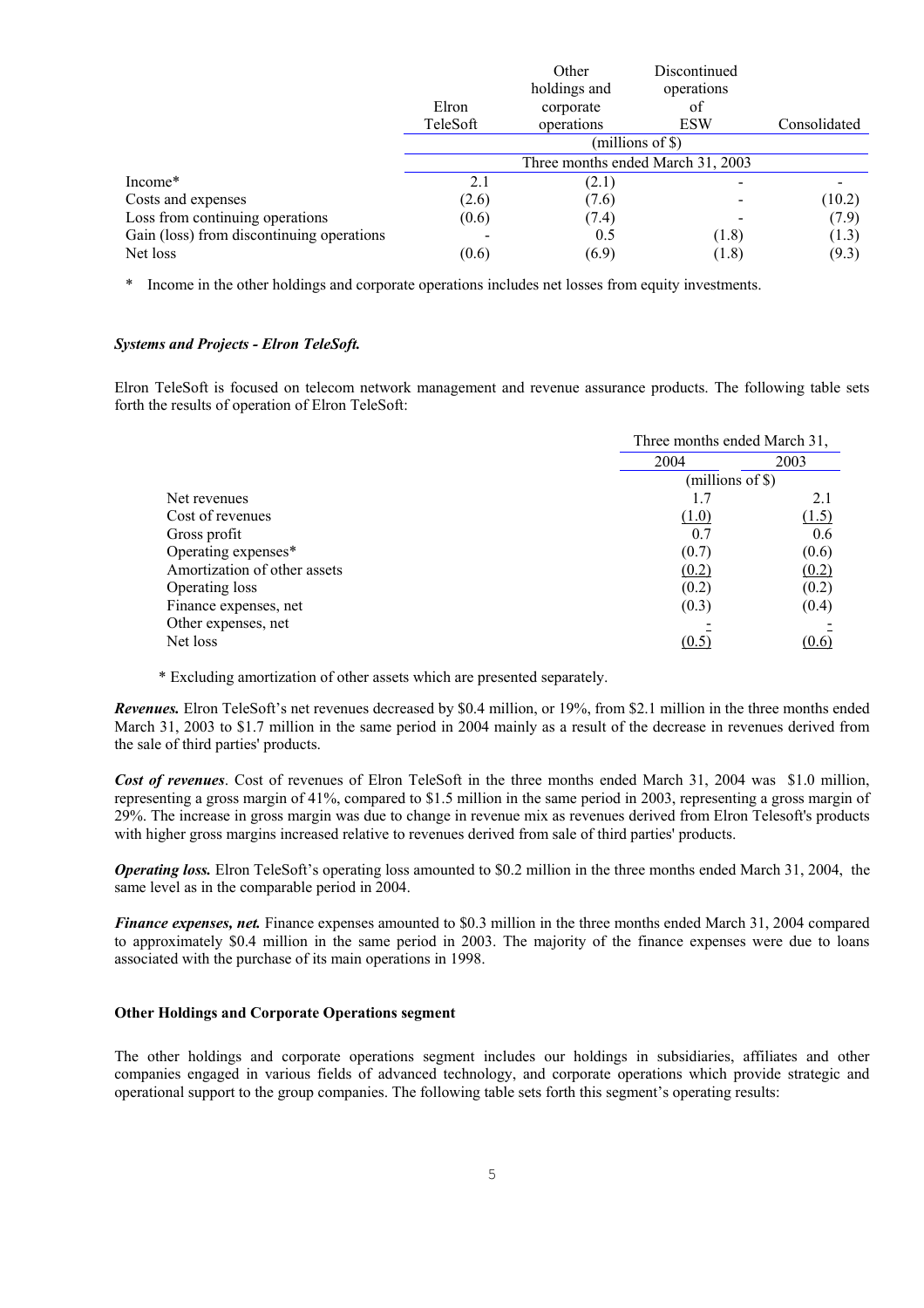|                                           |          | Other        | Discontinued                      |              |
|-------------------------------------------|----------|--------------|-----------------------------------|--------------|
|                                           |          | holdings and | operations                        |              |
|                                           | Elron    | corporate    | of                                |              |
|                                           | TeleSoft | operations   | <b>ESW</b>                        | Consolidated |
|                                           |          |              | (millions of \$)                  |              |
|                                           |          |              | Three months ended March 31, 2003 |              |
| Income*                                   | 2.1      | (2.1)        |                                   |              |
| Costs and expenses                        | (2.6)    | (7.6)        |                                   | (10.2)       |
| Loss from continuing operations           | (0.6)    | (7.4)        |                                   | (7.9)        |
| Gain (loss) from discontinuing operations |          | 0.5          | (1.8)                             | (1.3)        |
| Net loss                                  | (0.6)    | (6.9)        | (1.8)                             | (9.3)        |

\* Income in the other holdings and corporate operations includes net losses from equity investments.

#### *Systems and Projects - Elron TeleSoft.*

Elron TeleSoft is focused on telecom network management and revenue assurance products. The following table sets forth the results of operation of Elron TeleSoft:

|                              | Three months ended March 31, |                     |  |
|------------------------------|------------------------------|---------------------|--|
|                              | 2004                         | 2003                |  |
|                              |                              | $(millions of \$))$ |  |
| Net revenues                 |                              | 2.1                 |  |
| Cost of revenues             | (1.0)                        | (1.5)               |  |
| Gross profit                 | 0.7                          | 0.6                 |  |
| Operating expenses*          | (0.7)                        | (0.6)               |  |
| Amortization of other assets | (0.2)                        | (0.2)               |  |
| Operating loss               | (0.2)                        | (0.2)               |  |
| Finance expenses, net        | (0.3)                        | (0.4)               |  |
| Other expenses, net          |                              |                     |  |
| Net loss                     | (0.5)                        | (0.6)               |  |
|                              |                              |                     |  |

\* Excluding amortization of other assets which are presented separately.

*Revenues.* Elron TeleSoft's net revenues decreased by \$0.4 million, or 19%, from \$2.1 million in the three months ended March 31, 2003 to \$1.7 million in the same period in 2004 mainly as a result of the decrease in revenues derived from the sale of third parties' products.

*Cost of revenues*. Cost of revenues of Elron TeleSoft in the three months ended March 31, 2004 was \$1.0 million, representing a gross margin of 41%, compared to \$1.5 million in the same period in 2003, representing a gross margin of 29%. The increase in gross margin was due to change in revenue mix as revenues derived from Elron Telesoft's products with higher gross margins increased relative to revenues derived from sale of third parties' products.

*Operating loss.* Elron TeleSoft's operating loss amounted to \$0.2 million in the three months ended March 31, 2004, the same level as in the comparable period in 2004.

*Finance expenses, net.* Finance expenses amounted to \$0.3 million in the three months ended March 31, 2004 compared to approximately \$0.4 million in the same period in 2003. The majority of the finance expenses were due to loans associated with the purchase of its main operations in 1998.

# **Other Holdings and Corporate Operations segment**

The other holdings and corporate operations segment includes our holdings in subsidiaries, affiliates and other companies engaged in various fields of advanced technology, and corporate operations which provide strategic and operational support to the group companies. The following table sets forth this segment's operating results: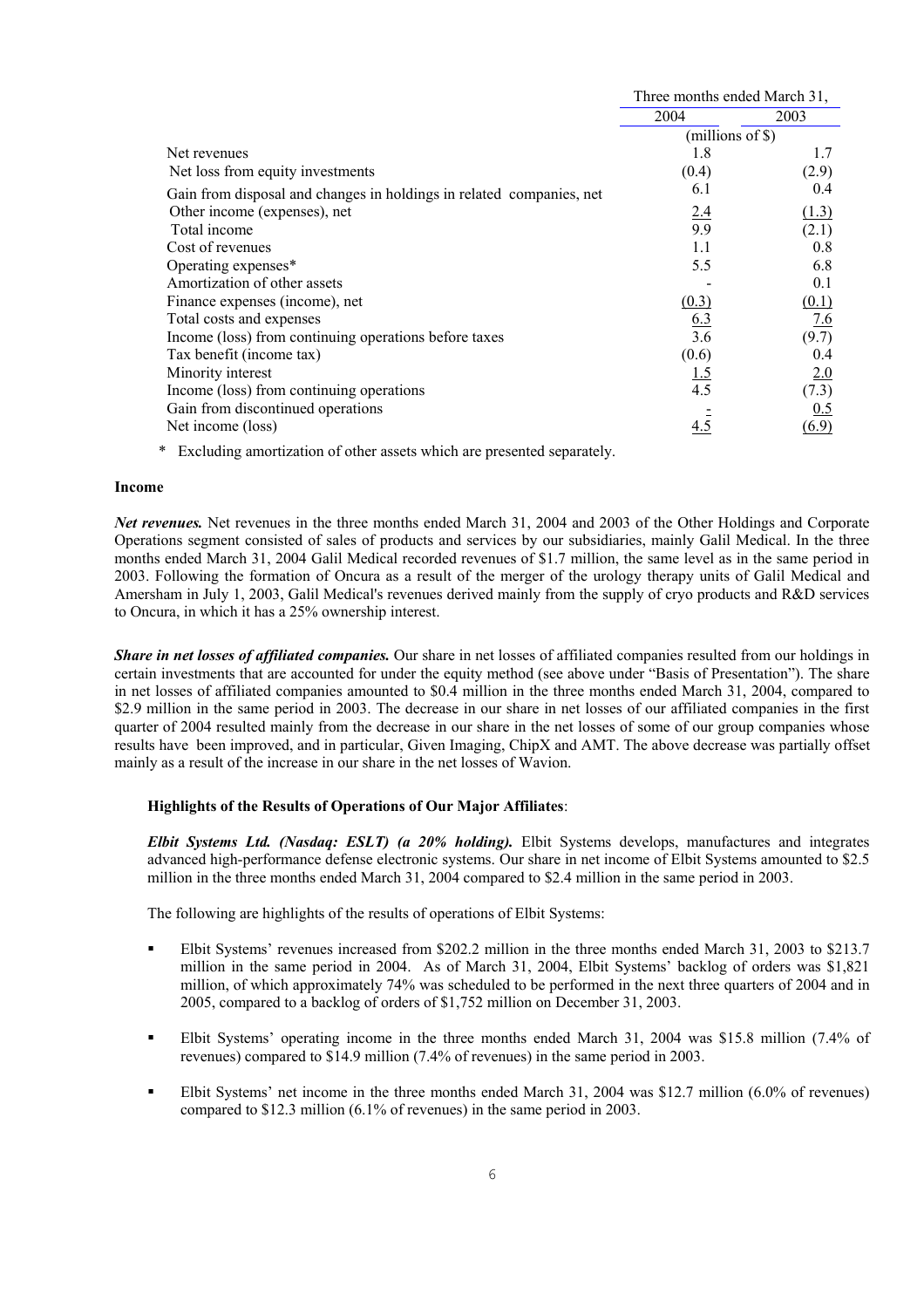|                                                                      | Three months ended March 31, |       |
|----------------------------------------------------------------------|------------------------------|-------|
|                                                                      | 2004                         | 2003  |
|                                                                      | $(millions of \$))$          |       |
| Net revenues                                                         | 1.8                          | 1.7   |
| Net loss from equity investments                                     | (0.4)                        | (2.9) |
| Gain from disposal and changes in holdings in related companies, net | 6.1                          | 0.4   |
| Other income (expenses), net                                         | 2.4                          | (1.3) |
| Total income                                                         | 9.9                          | (2.1) |
| Cost of revenues                                                     | 1.1                          | 0.8   |
| Operating expenses*                                                  | 5.5                          | 6.8   |
| Amortization of other assets                                         |                              | 0.1   |
| Finance expenses (income), net                                       | (0.3)                        | (0.1) |
| Total costs and expenses                                             | 6.3                          | 7.6   |
| Income (loss) from continuing operations before taxes                | 3.6                          | (9.7) |
| Tax benefit (income tax)                                             | (0.6)                        | 0.4   |
| Minority interest                                                    | <u>1.5</u>                   | 2.0   |
| Income (loss) from continuing operations                             | 4.5                          | (7.3) |
| Gain from discontinued operations                                    |                              | 0.5   |
| Net income (loss)                                                    | 4.5                          | (6.9) |

\* Excluding amortization of other assets which are presented separately.

#### **Income**

*Net revenues.* Net revenues in the three months ended March 31, 2004 and 2003 of the Other Holdings and Corporate Operations segment consisted of sales of products and services by our subsidiaries, mainly Galil Medical. In the three months ended March 31, 2004 Galil Medical recorded revenues of \$1.7 million, the same level as in the same period in 2003. Following the formation of Oncura as a result of the merger of the urology therapy units of Galil Medical and Amersham in July 1, 2003, Galil Medical's revenues derived mainly from the supply of cryo products and R&D services to Oncura, in which it has a 25% ownership interest.

*Share in net losses of affiliated companies.* Our share in net losses of affiliated companies resulted from our holdings in certain investments that are accounted for under the equity method (see above under "Basis of Presentation"). The share in net losses of affiliated companies amounted to \$0.4 million in the three months ended March 31, 2004, compared to \$2.9 million in the same period in 2003. The decrease in our share in net losses of our affiliated companies in the first quarter of 2004 resulted mainly from the decrease in our share in the net losses of some of our group companies whose results have been improved, and in particular, Given Imaging, ChipX and AMT. The above decrease was partially offset mainly as a result of the increase in our share in the net losses of Wavion.

# **Highlights of the Results of Operations of Our Major Affiliates**:

*Elbit Systems Ltd. (Nasdaq: ESLT) (a 20% holding).* Elbit Systems develops, manufactures and integrates advanced high-performance defense electronic systems. Our share in net income of Elbit Systems amounted to \$2.5 million in the three months ended March 31, 2004 compared to \$2.4 million in the same period in 2003.

The following are highlights of the results of operations of Elbit Systems:

- Elbit Systems' revenues increased from \$202.2 million in the three months ended March 31, 2003 to \$213.7 million in the same period in 2004. As of March 31, 2004, Elbit Systems' backlog of orders was \$1,821 million, of which approximately 74% was scheduled to be performed in the next three quarters of 2004 and in 2005, compared to a backlog of orders of \$1,752 million on December 31, 2003.
- Elbit Systems' operating income in the three months ended March 31, 2004 was \$15.8 million (7.4% of revenues) compared to \$14.9 million (7.4% of revenues) in the same period in 2003.
- Elbit Systems' net income in the three months ended March 31, 2004 was \$12.7 million (6.0% of revenues) compared to \$12.3 million (6.1% of revenues) in the same period in 2003.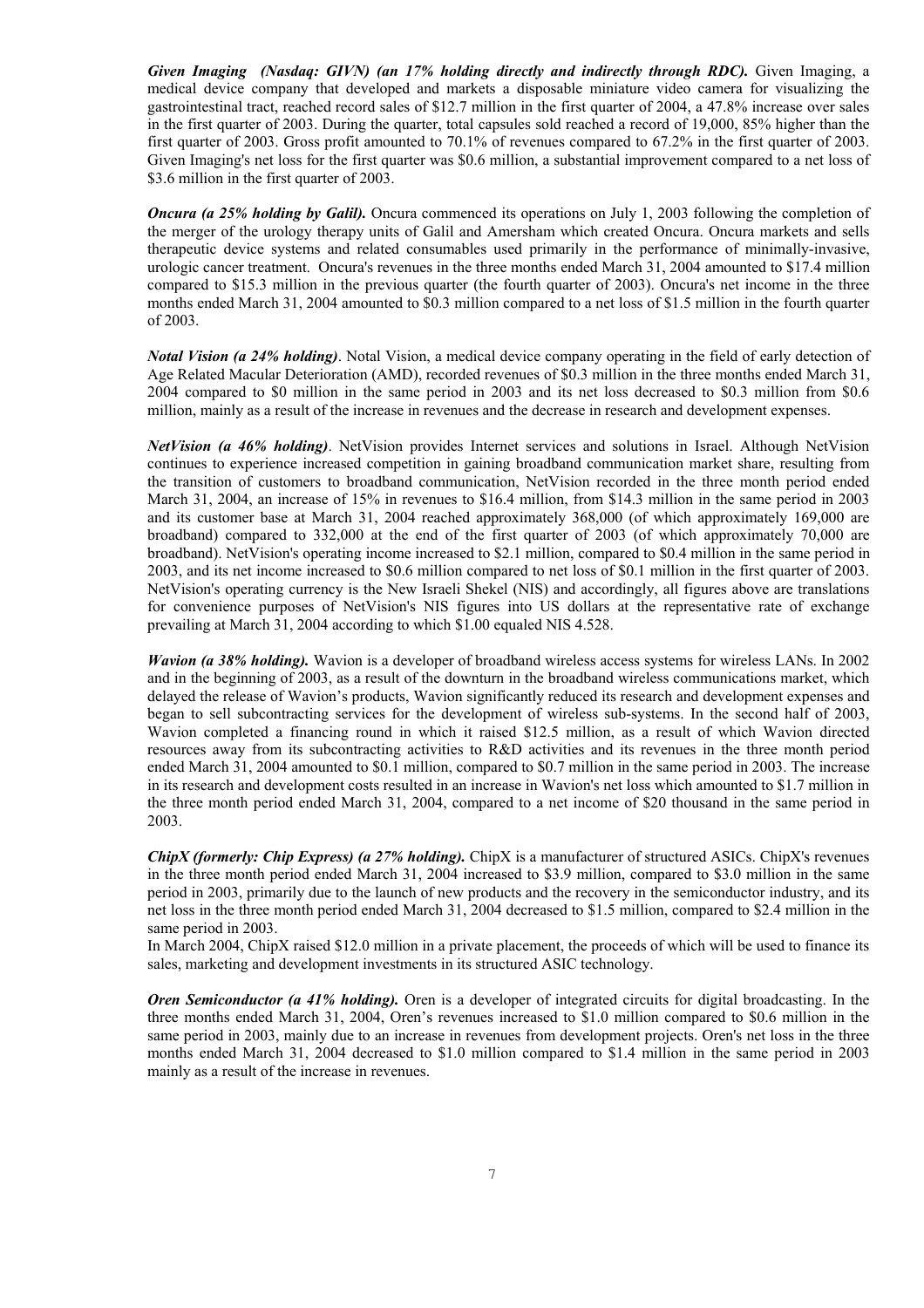*Given Imaging (Nasdaq: GIVN) (an 17% holding directly and indirectly through RDC).* Given Imaging, a medical device company that developed and markets a disposable miniature video camera for visualizing the gastrointestinal tract, reached record sales of \$12.7 million in the first quarter of 2004, a 47.8% increase over sales in the first quarter of 2003. During the quarter, total capsules sold reached a record of 19,000, 85% higher than the first quarter of 2003. Gross profit amounted to 70.1% of revenues compared to 67.2% in the first quarter of 2003. Given Imaging's net loss for the first quarter was \$0.6 million, a substantial improvement compared to a net loss of \$3.6 million in the first quarter of 2003.

*Oncura (a 25% holding by Galil).* Oncura commenced its operations on July 1, 2003 following the completion of the merger of the urology therapy units of Galil and Amersham which created Oncura. Oncura markets and sells therapeutic device systems and related consumables used primarily in the performance of minimally-invasive, urologic cancer treatment. Oncura's revenues in the three months ended March 31, 2004 amounted to \$17.4 million compared to \$15.3 million in the previous quarter (the fourth quarter of 2003). Oncura's net income in the three months ended March 31, 2004 amounted to \$0.3 million compared to a net loss of \$1.5 million in the fourth quarter of 2003.

*Notal Vision (a 24% holding)*. Notal Vision, a medical device company operating in the field of early detection of Age Related Macular Deterioration (AMD), recorded revenues of \$0.3 million in the three months ended March 31, 2004 compared to \$0 million in the same period in 2003 and its net loss decreased to \$0.3 million from \$0.6 million, mainly as a result of the increase in revenues and the decrease in research and development expenses.

*NetVision (a 46% holding)*. NetVision provides Internet services and solutions in Israel. Although NetVision continues to experience increased competition in gaining broadband communication market share, resulting from the transition of customers to broadband communication, NetVision recorded in the three month period ended March 31, 2004, an increase of 15% in revenues to \$16.4 million, from \$14.3 million in the same period in 2003 and its customer base at March 31, 2004 reached approximately 368,000 (of which approximately 169,000 are broadband) compared to 332,000 at the end of the first quarter of 2003 (of which approximately 70,000 are broadband). NetVision's operating income increased to \$2.1 million, compared to \$0.4 million in the same period in 2003, and its net income increased to \$0.6 million compared to net loss of \$0.1 million in the first quarter of 2003. NetVision's operating currency is the New Israeli Shekel (NIS) and accordingly, all figures above are translations for convenience purposes of NetVision's NIS figures into US dollars at the representative rate of exchange prevailing at March 31, 2004 according to which \$1.00 equaled NIS 4.528.

*Wavion (a 38% holding).* Wavion is a developer of broadband wireless access systems for wireless LANs. In 2002 and in the beginning of 2003, as a result of the downturn in the broadband wireless communications market, which delayed the release of Wavion's products, Wavion significantly reduced its research and development expenses and began to sell subcontracting services for the development of wireless sub-systems. In the second half of 2003, Wavion completed a financing round in which it raised \$12.5 million, as a result of which Wavion directed resources away from its subcontracting activities to R&D activities and its revenues in the three month period ended March 31, 2004 amounted to \$0.1 million, compared to \$0.7 million in the same period in 2003. The increase in its research and development costs resulted in an increase in Wavion's net loss which amounted to \$1.7 million in the three month period ended March 31, 2004, compared to a net income of \$20 thousand in the same period in 2003.

*ChipX (formerly: Chip Express) (a 27% holding).* ChipX is a manufacturer of structured ASICs. ChipX's revenues in the three month period ended March 31, 2004 increased to \$3.9 million, compared to \$3.0 million in the same period in 2003, primarily due to the launch of new products and the recovery in the semiconductor industry, and its net loss in the three month period ended March 31, 2004 decreased to \$1.5 million, compared to \$2.4 million in the same period in 2003.

In March 2004, ChipX raised \$12.0 million in a private placement, the proceeds of which will be used to finance its sales, marketing and development investments in its structured ASIC technology.

*Oren Semiconductor (a 41% holding).* Oren is a developer of integrated circuits for digital broadcasting. In the three months ended March 31, 2004, Oren's revenues increased to \$1.0 million compared to \$0.6 million in the same period in 2003, mainly due to an increase in revenues from development projects. Oren's net loss in the three months ended March 31, 2004 decreased to \$1.0 million compared to \$1.4 million in the same period in 2003 mainly as a result of the increase in revenues.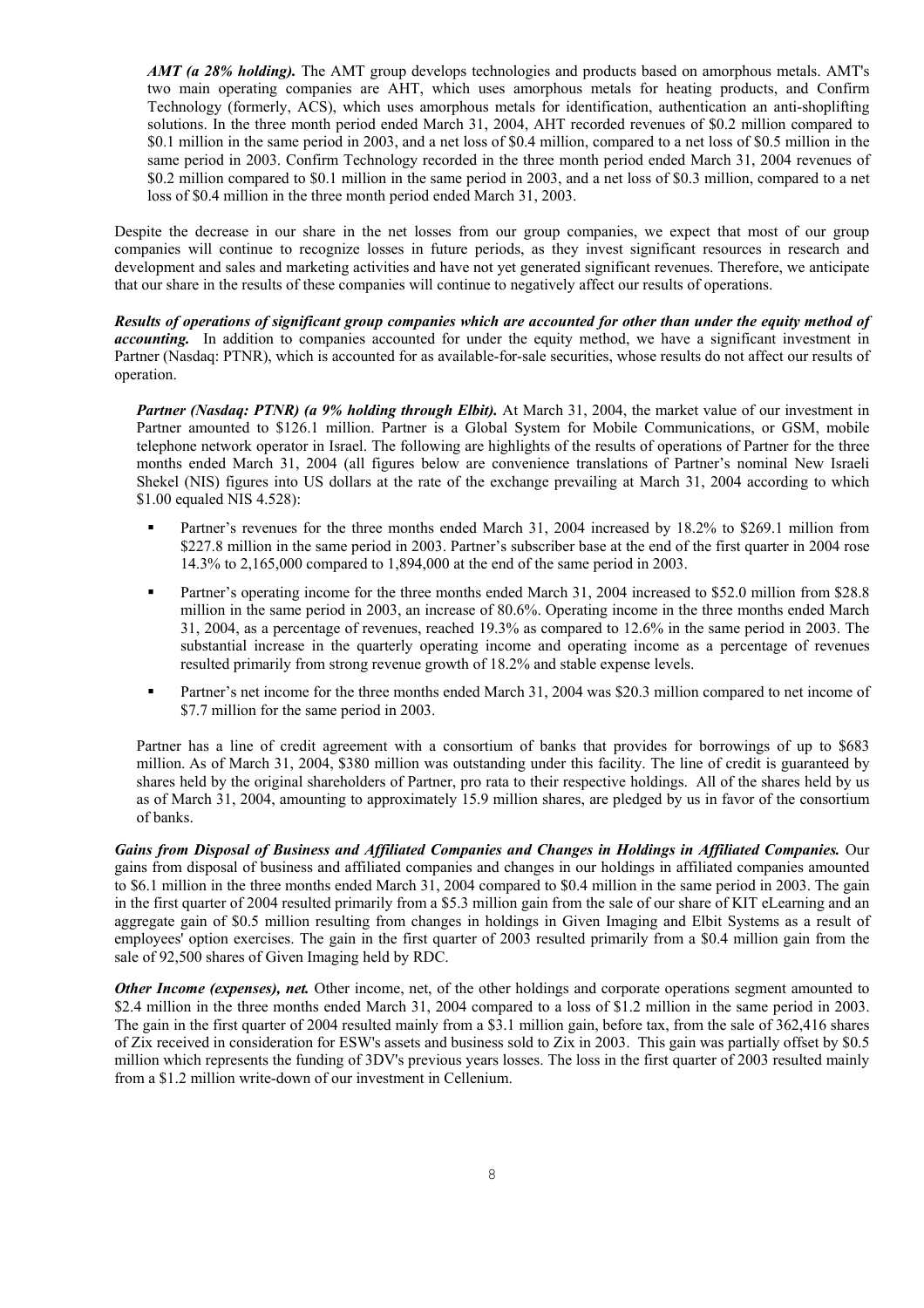*AMT (a 28% holding).* The AMT group develops technologies and products based on amorphous metals. AMT's two main operating companies are AHT, which uses amorphous metals for heating products, and Confirm Technology (formerly, ACS), which uses amorphous metals for identification, authentication an anti-shoplifting solutions. In the three month period ended March 31, 2004, AHT recorded revenues of \$0.2 million compared to \$0.1 million in the same period in 2003, and a net loss of \$0.4 million, compared to a net loss of \$0.5 million in the same period in 2003. Confirm Technology recorded in the three month period ended March 31, 2004 revenues of \$0.2 million compared to \$0.1 million in the same period in 2003, and a net loss of \$0.3 million, compared to a net loss of \$0.4 million in the three month period ended March 31, 2003.

Despite the decrease in our share in the net losses from our group companies, we expect that most of our group companies will continue to recognize losses in future periods, as they invest significant resources in research and development and sales and marketing activities and have not yet generated significant revenues. Therefore, we anticipate that our share in the results of these companies will continue to negatively affect our results of operations.

*Results of operations of significant group companies which are accounted for other than under the equity method of accounting.* In addition to companies accounted for under the equity method, we have a significant investment in Partner (Nasdaq: PTNR), which is accounted for as available-for-sale securities, whose results do not affect our results of operation.

*Partner (Nasdaq: PTNR) (a 9% holding through Elbit).* At March 31, 2004, the market value of our investment in Partner amounted to \$126.1 million. Partner is a Global System for Mobile Communications, or GSM, mobile telephone network operator in Israel. The following are highlights of the results of operations of Partner for the three months ended March 31, 2004 (all figures below are convenience translations of Partner's nominal New Israeli Shekel (NIS) figures into US dollars at the rate of the exchange prevailing at March 31, 2004 according to which \$1.00 equaled NIS 4.528):

- Partner's revenues for the three months ended March 31, 2004 increased by 18.2% to \$269.1 million from \$227.8 million in the same period in 2003. Partner's subscriber base at the end of the first quarter in 2004 rose 14.3% to 2,165,000 compared to 1,894,000 at the end of the same period in 2003.
- **Partner's operating income for the three months ended March 31, 2004 increased to \$52.0 million from \$28.8** million in the same period in 2003, an increase of 80.6%. Operating income in the three months ended March 31, 2004, as a percentage of revenues, reached 19.3% as compared to 12.6% in the same period in 2003. The substantial increase in the quarterly operating income and operating income as a percentage of revenues resulted primarily from strong revenue growth of 18.2% and stable expense levels.
- **Partner's net income for the three months ended March 31, 2004 was \$20.3 million compared to net income of** \$7.7 million for the same period in 2003.

Partner has a line of credit agreement with a consortium of banks that provides for borrowings of up to \$683 million. As of March 31, 2004, \$380 million was outstanding under this facility. The line of credit is guaranteed by shares held by the original shareholders of Partner, pro rata to their respective holdings. All of the shares held by us as of March 31, 2004, amounting to approximately 15.9 million shares, are pledged by us in favor of the consortium of banks.

*Gains from Disposal of Business and Affiliated Companies and Changes in Holdings in Affiliated Companies.* Our gains from disposal of business and affiliated companies and changes in our holdings in affiliated companies amounted to \$6.1 million in the three months ended March 31, 2004 compared to \$0.4 million in the same period in 2003. The gain in the first quarter of 2004 resulted primarily from a \$5.3 million gain from the sale of our share of KIT eLearning and an aggregate gain of \$0.5 million resulting from changes in holdings in Given Imaging and Elbit Systems as a result of employees' option exercises. The gain in the first quarter of 2003 resulted primarily from a \$0.4 million gain from the sale of 92,500 shares of Given Imaging held by RDC.

*Other Income (expenses), net.* Other income, net, of the other holdings and corporate operations segment amounted to \$2.4 million in the three months ended March 31, 2004 compared to a loss of \$1.2 million in the same period in 2003. The gain in the first quarter of 2004 resulted mainly from a \$3.1 million gain, before tax, from the sale of 362,416 shares of Zix received in consideration for ESW's assets and business sold to Zix in 2003. This gain was partially offset by \$0.5 million which represents the funding of 3DV's previous years losses. The loss in the first quarter of 2003 resulted mainly from a \$1.2 million write-down of our investment in Cellenium.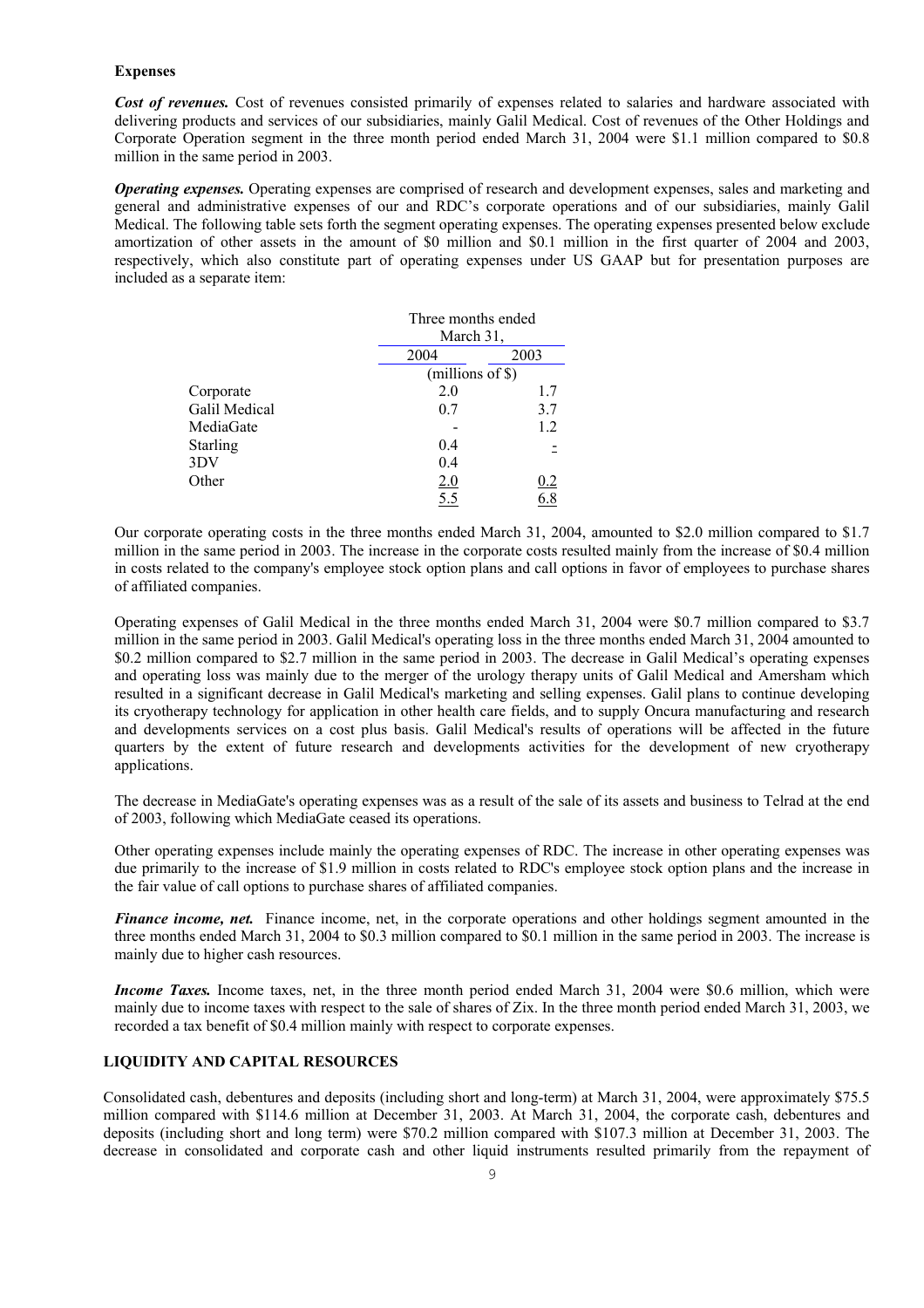### **Expenses**

*Cost of revenues.* Cost of revenues consisted primarily of expenses related to salaries and hardware associated with delivering products and services of our subsidiaries, mainly Galil Medical. Cost of revenues of the Other Holdings and Corporate Operation segment in the three month period ended March 31, 2004 were \$1.1 million compared to \$0.8 million in the same period in 2003.

*Operating expenses.* Operating expenses are comprised of research and development expenses, sales and marketing and general and administrative expenses of our and RDC's corporate operations and of our subsidiaries, mainly Galil Medical. The following table sets forth the segment operating expenses. The operating expenses presented below exclude amortization of other assets in the amount of \$0 million and \$0.1 million in the first quarter of 2004 and 2003, respectively, which also constitute part of operating expenses under US GAAP but for presentation purposes are included as a separate item:

|                 | Three months ended<br>March 31,<br>2004<br>2003<br>$(millions of \$))$ |     |  |
|-----------------|------------------------------------------------------------------------|-----|--|
|                 |                                                                        |     |  |
|                 |                                                                        |     |  |
|                 |                                                                        |     |  |
| Corporate       | 2.0                                                                    | 1.7 |  |
| Galil Medical   | 0.7                                                                    | 3.7 |  |
| MediaGate       |                                                                        | 1.2 |  |
| <b>Starling</b> | 0.4                                                                    |     |  |
| 3DV             | 0.4                                                                    |     |  |
| Other           | 2.0                                                                    | 0.2 |  |
|                 | 5.5                                                                    |     |  |

Our corporate operating costs in the three months ended March 31, 2004, amounted to \$2.0 million compared to \$1.7 million in the same period in 2003. The increase in the corporate costs resulted mainly from the increase of \$0.4 million in costs related to the company's employee stock option plans and call options in favor of employees to purchase shares of affiliated companies.

Operating expenses of Galil Medical in the three months ended March 31, 2004 were \$0.7 million compared to \$3.7 million in the same period in 2003. Galil Medical's operating loss in the three months ended March 31, 2004 amounted to \$0.2 million compared to \$2.7 million in the same period in 2003. The decrease in Galil Medical's operating expenses and operating loss was mainly due to the merger of the urology therapy units of Galil Medical and Amersham which resulted in a significant decrease in Galil Medical's marketing and selling expenses. Galil plans to continue developing its cryotherapy technology for application in other health care fields, and to supply Oncura manufacturing and research and developments services on a cost plus basis. Galil Medical's results of operations will be affected in the future quarters by the extent of future research and developments activities for the development of new cryotherapy applications.

The decrease in MediaGate's operating expenses was as a result of the sale of its assets and business to Telrad at the end of 2003, following which MediaGate ceased its operations.

Other operating expenses include mainly the operating expenses of RDC. The increase in other operating expenses was due primarily to the increase of \$1.9 million in costs related to RDC's employee stock option plans and the increase in the fair value of call options to purchase shares of affiliated companies.

*Finance income, net.* Finance income, net, in the corporate operations and other holdings segment amounted in the three months ended March 31, 2004 to \$0.3 million compared to \$0.1 million in the same period in 2003. The increase is mainly due to higher cash resources.

*Income Taxes.* Income taxes, net, in the three month period ended March 31, 2004 were \$0.6 million, which were mainly due to income taxes with respect to the sale of shares of Zix. In the three month period ended March 31, 2003, we recorded a tax benefit of \$0.4 million mainly with respect to corporate expenses.

# **LIQUIDITY AND CAPITAL RESOURCES**

Consolidated cash, debentures and deposits (including short and long-term) at March 31, 2004, were approximately \$75.5 million compared with \$114.6 million at December 31, 2003. At March 31, 2004, the corporate cash, debentures and deposits (including short and long term) were \$70.2 million compared with \$107.3 million at December 31, 2003. The decrease in consolidated and corporate cash and other liquid instruments resulted primarily from the repayment of